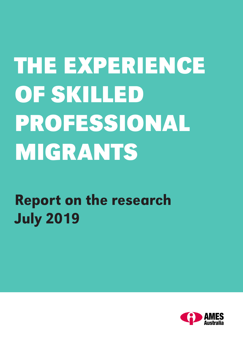# THE EXPERIENCE OF SKILLED PROFESSIONAL MIGRANTS

Report on the research July 2019

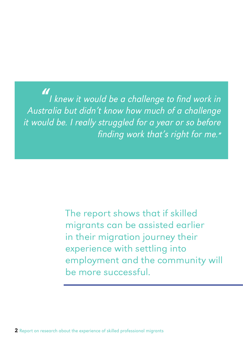" I knew it would be a challenge to find work in Australia but didn't know how much of a challenge it would be. I really struggled for a year or so before finding work that's right for me."

> The report shows that if skilled migrants can be assisted earlier in their migration journey their experience with settling into employment and the community will be more successful.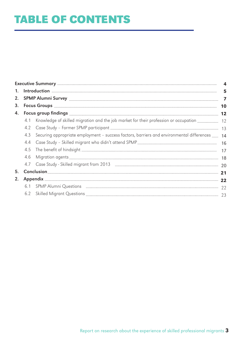### TABLE OF CONTENTS

| 1. |     |                                                                                               | 5                             |
|----|-----|-----------------------------------------------------------------------------------------------|-------------------------------|
| 2. |     |                                                                                               | $\overline{\mathbf{z}}$<br>10 |
| 3. |     |                                                                                               |                               |
| 4. |     |                                                                                               |                               |
|    | 4.1 | Knowledge of skilled migration and the job market for their profession or occupation  12      |                               |
|    |     |                                                                                               |                               |
|    | 4.3 | Securing appropriate employment - success factors, barriers and environmental differences  14 |                               |
|    | 4.4 |                                                                                               |                               |
|    |     |                                                                                               | 17                            |
|    | 4.6 |                                                                                               |                               |
|    |     |                                                                                               |                               |
| 5. |     |                                                                                               |                               |
| 2. |     |                                                                                               |                               |
|    |     |                                                                                               |                               |
|    |     |                                                                                               |                               |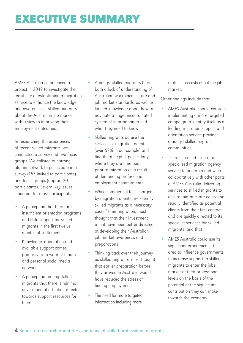AMES Australia commenced a project in 2019 to investigate the feasibility of establishing a migration service to enhance the knowledge and awareness of skilled migrants about the Australian job market with a view to improving their employment outcomes.

In researching the experiences of recent skilled migrants, we conducted a survey and two focus groups. We enlisted our strong alumni network to participate in a survey (153 invited to participate) and focus groups (approx. 20 participants). Several key issues stood out for most participants:

- A perception that there are insufficient orientation programs and little support for skilled migrants in the first twelve months of settlement
- Knowledge, orientation and available support comes primarily from word of mouth and personal social media networks
- A perception among skilled migrants that there is minimal governmental attention directed towards support resources for them
- Amongst skilled migrants there is both a lack of understanding of Australian workplace culture and job market standards, as well as limited knowledge about how to navigate a huge uncoordinated system of information to find what they need to know
- Skilled migrants do use the services of migration agents (over 52% in our sample) and find them helpful, particularly where they are time poor prior to migration as a result of demanding professional employment commitments
- While commercial fees charged by migration agents are seen by skilled migrants as a necessary cost of their migration, most thought that their investment might have been better directed at developing their Australian job market awareness and preparations
- Thinking back over their journey as skilled migrants, most thought that earlier preparation before they arrived in Australia would have reduced the stress of finding employment.
- The need for more targeted information including more

realistic forecasts about the job market.

Other findings include that:

- AMES Australia should consider implementing a more targeted campaign to identify itself as a leading migration support and orientation service provider amongst skilled migrant communities
- There is a need for a more specialised migration agency service to underpin and work collaboratively with other parts of AMES Australia delivering services to skilled migrants to ensure migrants are easily and readily identified as potential clients from their first contact and are quickly directed to its specialist services for skilled migrants; and that
- AMES Australia could use its significant experience in this area to influence governments to increase support to skilled migrants to enter the jobs market at their professional levels on the basis of the potential of the significant contribution they can make towards the economy.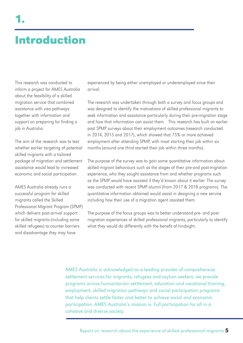### Introduction

This research was conducted to inform a project for AMES Australia about the feasibility of a skilled migration service that combined assistance with visa pathways together with information and support on preparing for finding a job in Australia.

The aim of the research was to test whether earlier targeting of potential skilled migrants with a tailored package of migration and settlement assistance would lead to increased economic and social participation.

AMES Australia already runs a successful program for skilled migrants called the Skilled Professional Migrant Program (SPMP) which delivers post-arrival support for skilled migrants (including some skilled refugees) to counter barriers and disadvantage they may have

experienced by being either unemployed or underemployed since their arrival.

The research was undertaken through both a survey and focus groups and was designed to identify the motivations of skilled professional migrants to seek information and assistance particularly during their pre-migration stage and how that information can assist them. This research has built on earlier post SPMP surveys about their employment outcomes (research conducted in 2014, 2015 and 2017), which showed that 75% or more achieved employment after attending SPMP, with most starting their job within six months (around one third started their job within three months).

The purpose of the survey was to gain some quantitative information about skilled migrant behaviours such as the stages of their pre-and post-migration experience, who they sought assistance from and whether programs such as the SPMP would have assisted if they'd known about it earlier. The survey was conducted with recent SPMP alumni (from 2017 & 2018 programs). The quantitative information obtained would assist in designing a new service including how their use of a migration agent assisted them.

The purpose of the focus groups was to better understand pre- and postmigration experiences of skilled professional migrants, particularly to identify what they would do differently with the benefit of hindsight.

AMES Australia is acknowledged as a leading provider of comprehensive settlement services for migrants, refugees and asylum seekers; we provide programs across humanitarian settlement, education and vocational training, employment, skilled migration pathways and social participation programs that help clients settle faster and better to achieve social and economic participation. AMES Australia's mission is: Full participation for all in a cohesive and diverse society.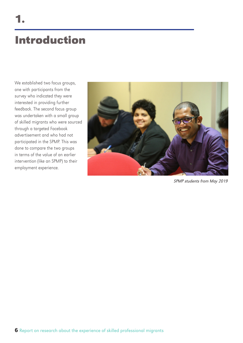### Introduction

We established two focus groups, one with participants from the survey who indicated they were interested in providing further feedback. The second focus group was undertaken with a small group of skilled migrants who were sourced through a targeted Facebook advertisement and who had not participated in the SPMP. This was done to compare the two groups in terms of the value of an earlier intervention (like an SPMP) to their employment experience.



SPMP students from May 2019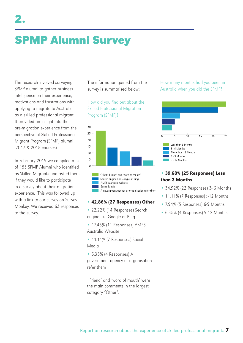### SPMP Alumni Survey

The research involved surveying SPMP alumni to gather business intelligence on their experience, motivations and frustrations with applying to migrate to Australia as a skilled professional migrant. It provided an insight into the pre-migration experience from the perspective of Skilled Professional Migrant Program (SPMP) alumni (2017 & 2018 courses).

In February 2019 we compiled a list of 153 SPMP Alumni who identified as Skilled Migrants and asked them if they would like to participate in a survey about their migration experience. This was followed up with a link to our survey on Survey Monkey. We received 63 responses to the survey.

The information gained from the survey is summarised below:

How did you find out about the Skilled Professional Migration Program (SPMP)?



- 42.86% (27 Responses) Other
- 22.22% (14 Responses) Search engine like Google or Bing
- 17.46% (11 Responses) AMES Australia Website
- 11.11% (7 Responses) Social Media
- 6.35% (4 Responses) A

government agency or organisation refer them

 'Friend' and 'word of mouth' were the main comments in the largest category "Other".

How many months had you been in Australia when you did the SPMP?



#### • 39.68% (25 Responses) Less than 3 Months

- 34.92% (22 Responses) 3- 6 Months
- 11.11% (7 Responses) >12 Months
- 7.94% (5 Responses) 6-9 Months
- 6.35% (4 Responses) 9-12 Months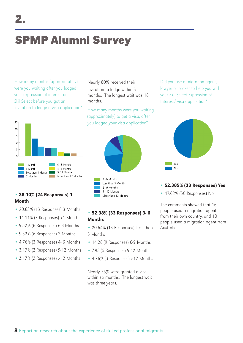# SPMP Alumni Survey

How many months (approximately) were you waiting after you lodged your expression of interest on SkillSelect before you got an invitation to lodge a visa application? How many months were you waiting

Nearly 80% received their invitation to lodge within 3 months. The longest wait was 18 months.

(approximately) to get a visa, after you lodged your visa application?



#### • 38.10% (24 Responses) 1 Month

- 20.63% (13 Responses) 3 Months
- 11.11% (7 Responses) <1 Month
- 9.52% (6 Responses) 6-8 Months
- 9.52% (6 Responses) 2 Months
- 4.76% (3 Responses) 4- 6 Months
- 3.17% (2 Responses) 9-12 Months
- 3.17% (2 Responses) > 12 Months



#### • 52.38% (33 Responses) 3- 6 Months

- 20.64% (13 Responses) Less than 3 Months
- 14.28 (9 Responses) 6-9 Months
- 7.93 (5 Responses) 9-12 Months
- 4.76% (3 Responses) >12 Months

Nearly 75% were granted a visa within six months. The longest wait was three years.

Did you use a migration agent, lawyer or broker to help you with your SkillSelect Expression of Interest/ visa application?



#### • 52.385% (33 Responses) Yes

• 47.62% (30 Responses) No

The comments showed that 16 people used a migration agent from their own country, and 10 people used a migration agent from Australia.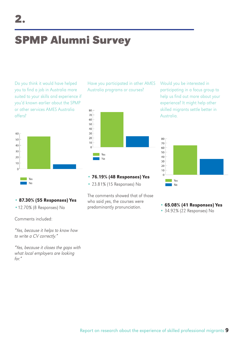## SPMP Alumni Survey

Do you think it would have helped you to find a job in Australia more suited to your skills and experience if you'd known earlier about the SPMP or other services AMES Australia offers?



#### • 87.30% (55 Responses) Yes

•12.70% (8 Responses) No

Comments included:

"Yes, because it helps to know how to write a CV correctly."

"Yes, because it closes the gaps with what local employers are looking for."

Have you participated in other AMES Australia programs or courses?



Would you be interested in participating in a focus group to help us find out more about your experience? It might help other skilled migrants settle better in Australia.



#### • 76.19% (48 Responses) Yes

• 23.81% (15 Responses) No

The comments showed that of those who said yes, the courses were predominantly pronunciation.

#### • 65.08% (41 Responses) Yes

• 34.92% (22 Responses) No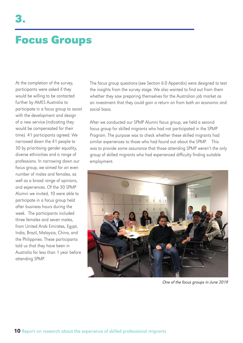### Focus Groups

At the completion of the survey, participants were asked if they would be willing to be contacted further by AMES Australia to participate in a focus group to assist with the development and design of a new service (indicating they would be compensated for their time). 41 participants agreed. We narrowed down the 41 people to 30 by prioritising gender equality, diverse ethnicities and a range of professions. In narrowing down our focus group, we aimed for an even number of males and females, as well as a broad range of opinions, and experiences. Of the 30 SPMP Alumni we invited, 10 were able to participate in a focus group held after business hours during the week. The participants included three females and seven males, from United Arab Emirates, Egypt, India, Brazil, Malaysia, China, and the Philippines. These participants told us that they have been in Australia for less than 1 year before attending SPMP.

The focus group questions (see Section 6.0 Appendix) were designed to test the insights from the survey stage. We also wanted to find out from them whether they saw preparing themselves for the Australian job market as an investment that they could gain a return on from both an economic and social basis.

After we conducted our SPMP Alumni focus group, we held a second focus group for skilled migrants who had not participated in the SPMP Program. The purpose was to check whether these skilled migrants had similar experiences to those who had found out about the SPMP. This was to provide some assurance that those attending SPMP weren't the only group of skilled migrants who had experienced difficulty finding suitable employment.



One of the focus groups in June 2019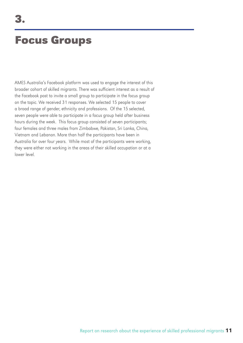### Focus Groups

AMES Australia's Facebook platform was used to engage the interest of this broader cohort of skilled migrants. There was sufficient interest as a result of the Facebook post to invite a small group to participate in the focus group on the topic. We received 31 responses. We selected 15 people to cover a broad range of gender, ethnicity and professions. Of the 15 selected, seven people were able to participate in a focus group held after business hours during the week. This focus group consisted of seven participants; four females and three males from Zimbabwe, Pakistan, Sri Lanka, China, Vietnam and Lebanon. More than half the participants have been in Australia for over four years. While most of the participants were working, they were either not working in the areas of their skilled occupation or at a lower level.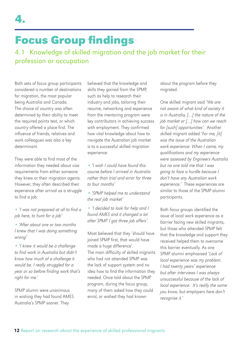4.1 Knowledge of skilled migration and the job market for their profession or occupation

Both sets of focus group participants considered a number of destinations for migration, the most popular being Australia and Canada. The choice of country was often determined by their ability to meet the required points test, or which country offered a place first. The influence of friends, relatives and work colleagues was also a key determinant.

They were able to find most of the information they needed about visa requirements from either someone they knew or their migration agents. However, they often described their experience after arrival as a struggle to find a job:

• 'I was not prepared at all to find a job here, to hunt for a job'

• 'After about one or two months I knew that I was doing something wrong'

• 'I knew it would be a challenge to find work in Australia but didn't know how much of a challenge it would be. I really struggled for a year or so before finding work that's right for me.'

SPMP alumni were unanimous in wishing they had found AMES Australia's SPMP sooner. They

believed that the knowledge and skills they gained from the SPMP, such as help to research their industry and jobs, tailoring their resume, networking and experience from the mentoring program were key contributors in achieving success with employment. They confirmed how vital knowledge about how to navigate the Australian job market is to a successful skilled migration experience:

• 'I wish I could have found this course before I arrived in Australia rather than trial and error for three to four months'

• 'SPMP helped me to understand the real job market'

• 'I decided to look for help and I found AMES and it changed a lot after SPMP. I got three job offers'.

Most believed that they 'should have joined SPMP first, that would have made a huge difference'. The main difficulty of skilled migrants who had not attended SPMP was the lack of support system and no idea how to find the information they needed. Once told about the SPMP program, during the focus group, many of them asked how they could enrol, or wished they had known

about the program before they migrated.

One skilled migrant said 'We are not aware of what kind of society it is in Australia, […] the nature of the job market or […] how can we reach for [such] opportunities'. Another skilled migrant added 'For me, [it] was the issue of the Australian work experience. When I came, my qualifications and my experience were assessed by Engineers Australia but no one told me that I was going to face a hurdle because I don't have any Australian work experience.' These experiences are similar to those of the SPMP alumni participants.

Both focus groups identified the issue of local work experience as a barrier facing new skilled migrants, but those who attended SPMP felt that the knowledge and support they received helped them to overcome this barrier eventually. As one SPMP alumni emphasised 'Lack of local experience was my problem. I had twenty years' experience but after interviews I was always unsuccessful because of the lack of local experience. It's really the same you know, but employers here don't recognise it.'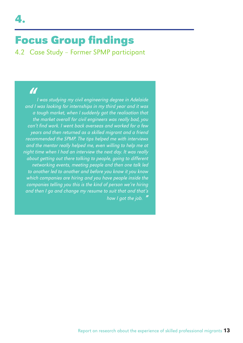4.2 Case Study – Former SPMP participant

#### "

I was studying my civil engineering degree in Adelaide and I was looking for internships in my third year and it was a tough market, when I suddenly got the realisation that the market overall for civil engineers was really bad, you can't find work. I went back overseas and worked for a few years and then returned as a skilled migrant and a friend recommended the SPMP. The tips helped me with interviews and the mentor really helped me, even willing to help me at night time when I had an interview the next day. It was really about getting out there talking to people, going to different networking events, meeting people and then one talk led to another led to another and before you know it you know which companies are hiring and you have people inside the companies telling you this is the kind of person we're hiring and then I go and change my resume to suit that and that's how I got the job. "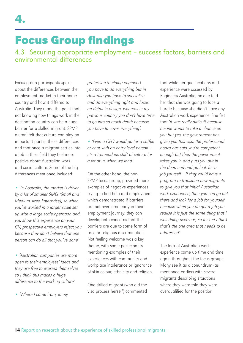4.3 Securing appropriate employment – success factors, barriers and environmental differences

Focus group participants spoke about the differences between the employment market in their home country and how it differed to Australia. They made the point that not knowing how things work in the destination country can be a huge barrier for a skilled migrant. SPMP alumni felt that culture can play an important part in these differences and that once a migrant settles into a job in their field they feel more positive about Australian work and social culture. Some of the big differences mentioned included:

• 'In Australia, the market is driven by a lot of smaller SMEs (Small and Medium sized Enterprise), so when you've worked in a larger scale set up with a large scale operation and you show this experience on your CV, prospective employers reject you because they don't believe that one person can do all that you've done'

• 'Australian companies are more open to their employees' ideas and they are free to express themselves so I think this makes a huge difference to the working culture'.

• 'Where I came from, in my

profession (building engineer) you have to do everything but in Australia you have to specialise and do everything right and focus on detail in design, whereas in my previous country you don't have time to go into so much depth because you have to cover everything'.

• 'Even a CEO would go for a coffee or chat with an entry level person – it's a tremendous shift of culture for a lot of us when we land'.

On the other hand, the non-SPMP focus group, provided more examples of negative experiences trying to find help and employment which demonstrated if barriers are not overcome early in their employment journey, they can develop into concerns that the barriers are due to some form of race or religious discrimination. Not feeling welcome was a key theme, with some participants mentioning examples of their experiences with community and workplace intolerance or ignorance of skin colour, ethnicity and religion.

One skilled migrant (who did the visa process herself) commented

that while her qualifications and experience were assessed by Engineers Australia, no-one told her that she was going to face a hurdle because she didn't have any Australian work experience. She felt that 'it was really difficult because no-one wants to take a chance on you but yes, the government has given you this visa, the professional board has said you're competent enough but then the government takes you in and puts you out in the deep end and go look for a job yourself. If they could have a program to transition new migrants to give you that initial Australian work experience, then you can go out there and look for a job for yourself because when you do get a job you realise it is just the same thing that I was doing overseas, so for me I think that's the one area that needs to be addressed'.

The lack of Australian work experience came up time and time again throughout the focus groups. Many see it as a conundrum (as mentioned earlier) with several migrants describing situations where they were told they were overqualified for the position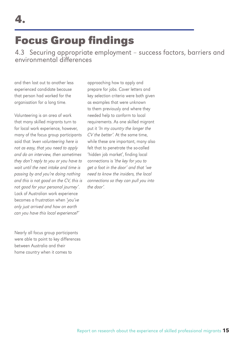4.3 Securing appropriate employment – success factors, barriers and environmental differences

and then lost out to another less experienced candidate because that person had worked for the organisation for a long time.

Volunteering is an area of work that many skilled migrants turn to for local work experience, however, many of the focus group participants said that 'even volunteering here is not as easy, that you need to apply and do an interview, then sometimes they don't reply to you or you have to wait until the next intake and time is passing by and you're doing nothing and this is not good on the CV, this is not good for your personal journey'. Lack of Australian work experience becomes a frustration when 'you've only just arrived and how on earth can you have this local experience?'

Nearly all focus group participants were able to point to key differences between Australia and their home country when it comes to

approaching how to apply and prepare for jobs. Cover letters and key selection criteria were both given as examples that were unknown to them previously and where they needed help to conform to local requirements. As one skilled migrant put it 'In my country the longer the CV the better'. At the same time, while these are important, many also felt that to penetrate the so-called 'hidden job market', finding local connections is 'the key for you to get a foot in the door' and that 'we need to know the insiders, the local connections so they can pull you into the door'.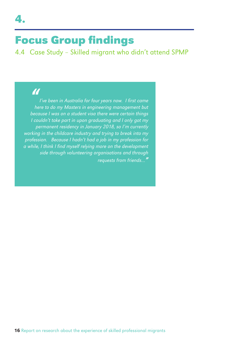4.4 Case Study – Skilled migrant who didn't attend SPMP

"

I've been in Australia for four years now. I first came here to do my Masters in engineering management but because I was on a student visa there were certain things I couldn't take part in upon graduating and I only got my permanent residency in January 2018, so I'm currently working in the childcare industry and trying to break into my profession. Because I hadn't had a job in my profession for a while, I think I find myself relying more on the development side through volunteering organisations and through requests from friends…"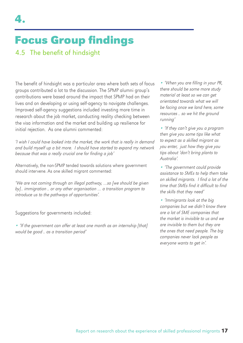4.5 The benefit of hindsight

The benefit of hindsight was a particular area where both sets of focus groups contributed a lot to the discussion. The SPMP alumni group's contributions were based around the impact that SPMP had on their lives and on developing or using self-agency to navigate challenges. Improved self-agency suggestions included investing more time in research about the job market, conducting reality checking between the visa information and the market and building up resilience for initial rejection. As one alumni commented:

'I wish I could have looked into the market, the work that is really in demand and build myself up a bit more. I should have started to expand my network because that was a really crucial one for finding a job'

Alternatively, the non-SPMP tended towards solutions where government should intervene. As one skilled migrant commented:

'We are not coming through an illegal pathway, …so [we should be given by].. immigration .. or any other organisation … a transition program to introduce us to the pathways of opportunities'.

Suggestions for governments included:

• 'If the government can offer at least one month as an internship [that] would be good .. as a transition period'

• 'When you are filling in your PR, there should be some more study material at least so we can get orientated towards what we will be facing once we land here, some resources .. so we hit the ground running'

• 'If they can't give you a program then give you some tips like what to expect as a skilled migrant as you enter, just how they give you tips about 'don't bring plants to Australia'.

• 'The government could provide assistance to SMEs to help them take on skilled migrants. I find a lot of the time that SMEs find it difficult to find the skills that they need'

• 'Immigrants look at the big companies but we didn't know there are a lot of SME companies that the market is invisible to us and we are invisible to them but they are the ones that need people. The big companies never lack people as everyone wants to get in'.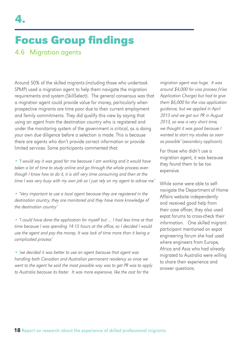#### 4.6 Migration agents

Around 50% of the skilled migrants (including those who undertook SPMP) used a migration agent to help them navigate the migration requirements and system (SkillSelect). The general consensus was that a migration agent could provide value for money, particularly when prospective migrants are time poor due to their current employment and family commitments. They did qualify this view by saying that using an agent from the destination country who is registered and under the monitoring system of the government is critical, as is doing your own due diligence before a selection is made. This is because there are agents who don't provide correct information or provide limited services. Some participants commented that:

• 'I would say it was good for me because I am working and it would have taken a lot of time to study online and go through the whole process even though I know how to do it, it is still very time consuming and then at the time I was very busy with my own job so I just rely on my agent to advise me'

• 'Very important to use a local agent because they are registered in the destination country, they are monitored and they have more knowledge of the destination country'

• 'I could have done the application for myself but … I had less time at that time because I was spending 14-15 hours at the office, so I decided I would use the agent and pay the money. It was lack of time more than it being a complicated process'

• 'we decided it was better to use an agent because that agent was handling both Canadian and Australian permanent residency so once we went to the agent he said the most possible way was to get PR was to apply to Australia because its faster. It was more expensive, like the cost for the

migration agent was huge. It was around \$4,000 for visa process (Visa Application Charge) but had to give them \$6,000 for the visa application guidance, but we applied in April 2013 and we got our PR in August 2013, so was a very short time, we thought it was good because I wanted to start my studies as soon as possible' (secondary applicant).

For those who didn't use a migration agent, it was because they found them to be too expensive.

While some were able to selfnavigate the Department of Home Affairs website independently and received good help from their case officer, they also used expat forums to cross-check their information. One skilled migrant participant mentioned an expat engineering forum she had used where engineers from Europe, Africa and Asia who had already migrated to Australia were willing to share their experience and answer questions.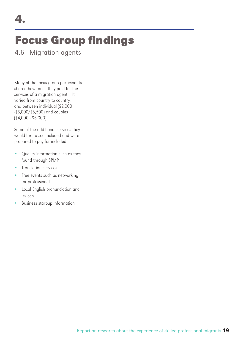4.6 Migration agents

Many of the focus group participants shared how much they paid for the services of a migration agent. It varied from country to country, and between individual (\$2,000 -\$3,000/\$3,500) and couples (\$4,000 - \$6,000).

Some of the additional services they would like to see included and were prepared to pay for included:

- Quality information such as they found through SPMP
- Translation services
- Free events such as networking for professionals
- Local English pronunciation and lexicon
- Business start-up information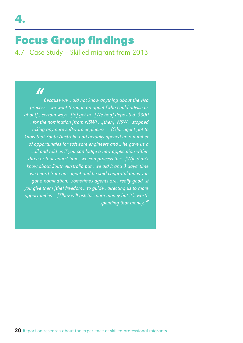4.7 Case Study – Skilled migrant from 2013

"

Because we .. did not know anything about the visa process .. we went through an agent [who could advise us about].. certain ways ..[to] get in. [We had] deposited \$300 ..for the nomination [from NSW] …[then] NSW .. stopped taking anymore software engineers. [O]ur agent got to know that South Australia had actually opened up a number of opportunities for software engineers and .. he gave us a call and told us if you can lodge a new application within three or four hours' time ..we can process this. [W]e didn't know about South Australia but.. we did it and 3 days' time we heard from our agent and he said congratulations you got a nomination. Sometimes agents are ..really good ..if you give them [the] freedom .. to guide.. directing us to more opportunities….[T]hey will ask for more money but it's worth spending that money.."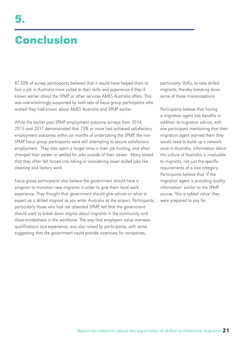### Conclusion

87.30% of survey participants believed that it would have helped them to find a job in Australia more suited to their skills and experience if they'd known earlier about the SPMP or other services AMES Australia offers. This was overwhelmingly supported by both sets of focus group participants who wished they had known about AMES Australia and SPMP earlier.

While the earlier post SPMP employment outcome surveys from 2014, 2015 and 2017 demonstrated that 75% or more had achieved satisfactory employment outcomes within six months of undertaking the SPMP, the non-SPMP focus group participants were still attempting to secure satisfactory employment. They also spent a longer time in their job hunting, and often changed their career or settled for jobs outside of their career. Many stated that they often felt forced into taking or considering lower skilled jobs like cleaning and factory work.

Focus group participants also believe the government should have a program to transition new migrants in order to give them local work experience. They thought that government should give advice on what to expect as a skilled migrant as you enter Australia at the airport. Participants, particularly those who had not attended SPMP, felt that the government should work to break down stigma about migrants in the community and close-mindedness in the workforce. The way that employers value overseas qualifications and experience, was also raised by participants, with some suggesting that the government could provide incentives for companies,

particularly SMEs, to take skilled migrants, thereby breaking down some of these misconceptions.

Participants believe that having a migration agent has benefits in addition to migration advice, with one participant mentioning that their migration agent warned them they would need to build up a network once in Australia. Information about the culture of Australia is invaluable to migrants, not just the specific requirements of a visa category. Participants believe that 'if the migration agent is providing quality information' similar to the SPMP course, 'this is added value' they were prepared to pay for.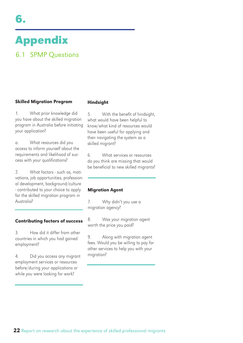### Appendix 6.1 SPMP Questions

6.

#### Skilled Migration Program

1. What prior knowledge did you have about the skilled migration program in Australia before initiating your application?

a. What resources did you access to inform yourself about the requirements and likelihood of success with your qualifications?

2. What factors - such as, motivations, job opportunities, professional development, background/culture - contributed to your choice to apply for the skilled migration program in Australia?

#### Contributing factors of success

3. How did it differ from other countries in which you had gained employment?

4. Did you access any migrant employment services or resources before/during your applications or while you were looking for work?

#### Hindsight

5. With the benefit of hindsight, what would have been helpful to know/what kind of resources would have been useful for applying and then navigating the system as a skilled migrant?

6. What services or resources do you think are missing that would be beneficial to new skilled migrants?

#### Migration Agent

7. Why didn't you use a migration agency?

8. Was your migration agent worth the price you paid?

9. Along with migration agent fees. Would you be willing to pay for other services to help you with your migration?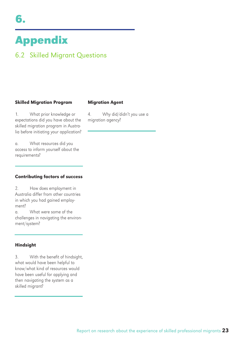### Appendix

#### 6.2 Skilled Migrant Questions

#### Skilled Migration Program

#### Migration Agent

1. What prior knowledge or expectations did you have about the skilled migration program in Australia before initiating your application?

a. What resources did you access to inform yourself about the requirements?

#### Contributing factors of success

2. How does employment in Australia differ from other countries in which you had gained employment?

a. What were some of the challenges in navigating the environment/system?

#### Hindsight

3. With the benefit of hindsight, what would have been helpful to know/what kind of resources would have been useful for applying and then navigating the system as a skilled migrant?

4. Why did/didn't you use a migration agency?